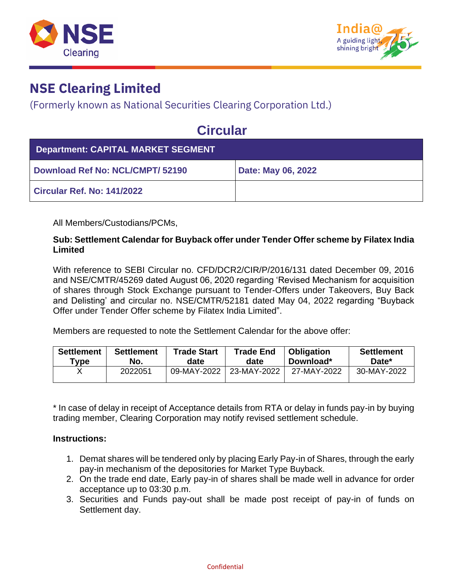



(Formerly known as National Securities Clearing Corporation Ltd.)

## **Circular**

| <b>Department: CAPITAL MARKET SEGMENT</b> |                    |
|-------------------------------------------|--------------------|
| Download Ref No: NCL/CMPT/ 52190          | Date: May 06, 2022 |
| Circular Ref. No: 141/2022                |                    |

All Members/Custodians/PCMs,

#### **Sub: Settlement Calendar for Buyback offer under Tender Offer scheme by Filatex India Limited**

With reference to SEBI Circular no. CFD/DCR2/CIR/P/2016/131 dated December 09, 2016 and NSE/CMTR/45269 dated August 06, 2020 regarding 'Revised Mechanism for acquisition of shares through Stock Exchange pursuant to Tender-Offers under Takeovers, Buy Back and Delisting' and circular no. NSE/CMTR/52181 dated May 04, 2022 regarding "Buyback Offer under Tender Offer scheme by Filatex India Limited".

Members are requested to note the Settlement Calendar for the above offer:

| <b>Settlement</b> | <b>Settlement</b> | <b>Trade Start</b> | <b>Trade End</b> | <b>Obligation</b> | <b>Settlement</b> |
|-------------------|-------------------|--------------------|------------------|-------------------|-------------------|
| Type              | No.               | date               | date             | Download*         | Date*             |
|                   | 2022051           | 09-MAY-2022        | 23-MAY-2022      | 27-MAY-2022       | 30-MAY-2022       |

\* In case of delay in receipt of Acceptance details from RTA or delay in funds pay-in by buying trading member, Clearing Corporation may notify revised settlement schedule.

#### **Instructions:**

- 1. Demat shares will be tendered only by placing Early Pay-in of Shares, through the early pay-in mechanism of the depositories for Market Type Buyback.
- 2. On the trade end date, Early pay-in of shares shall be made well in advance for order acceptance up to 03:30 p.m.
- 3. Securities and Funds pay-out shall be made post receipt of pay-in of funds on Settlement day.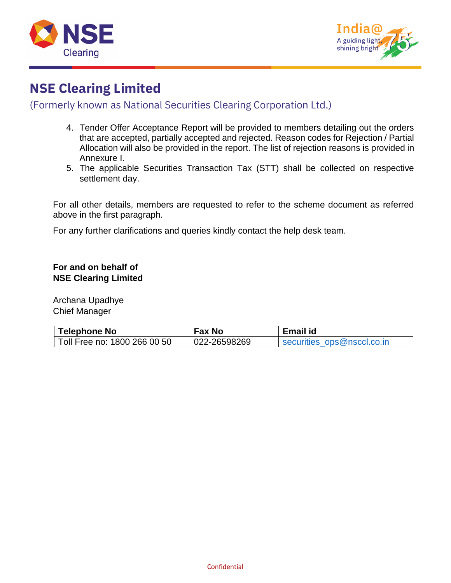



#### (Formerly known as National Securities Clearing Corporation Ltd.)

- 4. Tender Offer Acceptance Report will be provided to members detailing out the orders that are accepted, partially accepted and rejected. Reason codes for Rejection / Partial Allocation will also be provided in the report. The list of rejection reasons is provided in Annexure I.
- 5. The applicable Securities Transaction Tax (STT) shall be collected on respective settlement day.

For all other details, members are requested to refer to the scheme document as referred above in the first paragraph.

For any further clarifications and queries kindly contact the help desk team.

#### **For and on behalf of NSE Clearing Limited**

Archana Upadhye Chief Manager

| <b>Telephone No</b>          | Fax No       | Email id                   |
|------------------------------|--------------|----------------------------|
| Toll Free no: 1800 266 00 50 | 022-26598269 | securities ops@nsccl.co.in |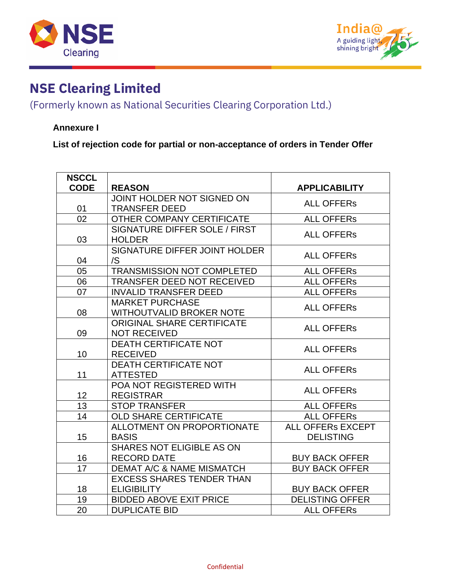



### (Formerly known as National Securities Clearing Corporation Ltd.)

#### **Annexure I**

**List of rejection code for partial or non-acceptance of orders in Tender Offer**

| <b>NSCCL</b> |                                      |                          |
|--------------|--------------------------------------|--------------------------|
| <b>CODE</b>  | <b>REASON</b>                        | <b>APPLICABILITY</b>     |
|              | JOINT HOLDER NOT SIGNED ON           | <b>ALL OFFERS</b>        |
| 01           | <b>TRANSFER DEED</b>                 |                          |
| 02           | OTHER COMPANY CERTIFICATE            | <b>ALL OFFERS</b>        |
|              | SIGNATURE DIFFER SOLE / FIRST        | <b>ALL OFFERS</b>        |
| 03           | <b>HOLDER</b>                        |                          |
|              | SIGNATURE DIFFER JOINT HOLDER        | <b>ALL OFFERS</b>        |
| 04           | /S                                   |                          |
| 05           | <b>TRANSMISSION NOT COMPLETED</b>    | <b>ALL OFFERS</b>        |
| 06           | TRANSFER DEED NOT RECEIVED           | <b>ALL OFFERS</b>        |
| 07           | <b>INVALID TRANSFER DEED</b>         | <b>ALL OFFERS</b>        |
|              | <b>MARKET PURCHASE</b>               | <b>ALL OFFERS</b>        |
| 08           | <b>WITHOUTVALID BROKER NOTE</b>      |                          |
|              | <b>ORIGINAL SHARE CERTIFICATE</b>    | <b>ALL OFFERS</b>        |
| 09           | <b>NOT RECEIVED</b>                  |                          |
|              | <b>DEATH CERTIFICATE NOT</b>         | <b>ALL OFFERS</b>        |
| 10           | <b>RECEIVED</b>                      |                          |
|              | <b>DEATH CERTIFICATE NOT</b>         | <b>ALL OFFERS</b>        |
| 11           | <b>ATTESTED</b>                      |                          |
|              | POA NOT REGISTERED WITH              | <b>ALL OFFERS</b>        |
| 12           | <b>REGISTRAR</b>                     |                          |
| 13           | <b>STOP TRANSFER</b>                 | <b>ALL OFFERS</b>        |
| 14           | <b>OLD SHARE CERTIFICATE</b>         | <b>ALL OFFERS</b>        |
|              | <b>ALLOTMENT ON PROPORTIONATE</b>    | <b>ALL OFFERS EXCEPT</b> |
| 15           | <b>BASIS</b>                         | <b>DELISTING</b>         |
|              | <b>SHARES NOT ELIGIBLE AS ON</b>     |                          |
| 16           | <b>RECORD DATE</b>                   | <b>BUY BACK OFFER</b>    |
| 17           | <b>DEMAT A/C &amp; NAME MISMATCH</b> | <b>BUY BACK OFFER</b>    |
|              | <b>EXCESS SHARES TENDER THAN</b>     |                          |
| 18           | <b>ELIGIBILITY</b>                   | <b>BUY BACK OFFER</b>    |
| 19           | <b>BIDDED ABOVE EXIT PRICE</b>       | <b>DELISTING OFFER</b>   |
| 20           | <b>DUPLICATE BID</b>                 | <b>ALL OFFERS</b>        |